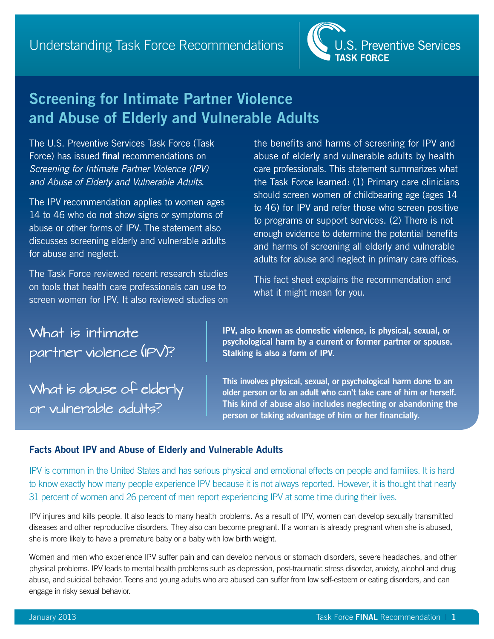

# **Screening for Intimate Partner Violence and Abuse of Elderly and Vulnerable Adults**

The U.S. Preventive Services Task Force (Task Force) has issued **final** recommendations on *Screening for Intimate Partner Violence (IPV) and Abuse of Elderly and Vulnerable Adults*.

The IPV recommendation applies to women ages 14 to 46 who do not show signs or symptoms of abuse or other forms of IPV. The statement also discusses screening elderly and vulnerable adults for abuse and neglect.

The Task Force reviewed recent research studies on tools that health care professionals can use to screen women for IPV. It also reviewed studies on the benefits and harms of screening for IPV and abuse of elderly and vulnerable adults by health care professionals. This statement summarizes what the Task Force learned: (1) Primary care clinicians should screen women of childbearing age (ages 14 to 46) for IPV and refer those who screen positive to programs or support services. (2) There is not enough evidence to determine the potential benefits and harms of screening all elderly and vulnerable adults for abuse and neglect in primary care offices.

This fact sheet explains the recommendation and what it might mean for you.

What is intimate partner violence (IPV)?

What is abuse of elderly or vulnerable adults?

**IPV, also known as domestic violence, is physical, sexual, or psychological harm by a current or former partner or spouse. Stalking is also a form of IPV.**

**This involves physical, sexual, or psychological harm done to an older person or to an adult who can't take care of him or herself. This kind of abuse also includes neglecting or abandoning the person or taking advantage of him or her financially.**

# **Facts About IPV and Abuse of Elderly and Vulnerable Adults**

IPV is common in the United States and has serious physical and emotional effects on people and families. It is hard to know exactly how many people experience IPV because it is not always reported. However, it is thought that nearly 31 percent of women and 26 percent of men report experiencing IPV at some time during their lives.

IPV injures and kills people. It also leads to many health problems. As a result of IPV, women can develop sexually transmitted diseases and other reproductive disorders. They also can become pregnant. If a woman is already pregnant when she is abused, she is more likely to have a premature baby or a baby with low birth weight.

Women and men who experience IPV suffer pain and can develop nervous or stomach disorders, severe headaches, and other physical problems. IPV leads to mental health problems such as depression, post-traumatic stress disorder, anxiety, alcohol and drug abuse, and suicidal behavior. Teens and young adults who are abused can suffer from low self-esteem or eating disorders, and can engage in risky sexual behavior.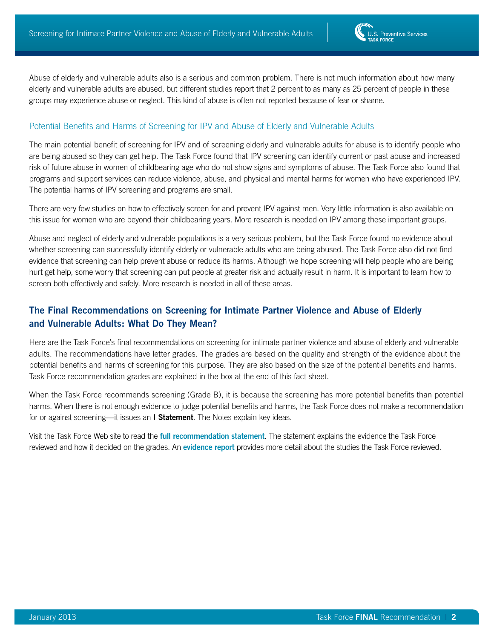Abuse of elderly and vulnerable adults also is a serious and common problem. There is not much information about how many elderly and vulnerable adults are abused, but different studies report that 2 percent to as many as 25 percent of people in these groups may experience abuse or neglect. This kind of abuse is often not reported because of fear or shame.

#### Potential Benefits and Harms of Screening for IPV and Abuse of Elderly and Vulnerable Adults

The main potential benefit of screening for IPV and of screening elderly and vulnerable adults for abuse is to identify people who are being abused so they can get help. The Task Force found that IPV screening can identify current or past abuse and increased risk of future abuse in women of childbearing age who do not show signs and symptoms of abuse. The Task Force also found that programs and support services can reduce violence, abuse, and physical and mental harms for women who have experienced IPV. The potential harms of IPV screening and programs are small.

There are very few studies on how to effectively screen for and prevent IPV against men. Very little information is also available on this issue for women who are beyond their childbearing years. More research is needed on IPV among these important groups.

Abuse and neglect of elderly and vulnerable populations is a very serious problem, but the Task Force found no evidence about whether screening can successfully identify elderly or vulnerable adults who are being abused. The Task Force also did not find evidence that screening can help prevent abuse or reduce its harms. Although we hope screening will help people who are being hurt get help, some worry that screening can put people at greater risk and actually result in harm. It is important to learn how to screen both effectively and safely. More research is needed in all of these areas.

# **The Final Recommendations on Screening for Intimate Partner Violence and Abuse of Elderly and Vulnerable Adults: What Do They Mean?**

Here are the Task Force's final recommendations on screening for intimate partner violence and abuse of elderly and vulnerable adults. The recommendations have letter grades. The grades are based on the quality and strength of the evidence about the potential benefits and harms of screening for this purpose. They are also based on the size of the potential benefits and harms. Task Force recommendation grades are explained in the box at the end of this fact sheet.

When the Task Force recommends screening (Grade B), it is because the screening has more potential benefits than potential harms. When there is not enough evidence to judge potential benefits and harms, the Task Force does not make a recommendation for or against screening—it issues an **I Statement**. The Notes explain key ideas.

Visit the Task Force Web site to read the **full recommendation statement**. The statement explains the evidence the Task Force reviewed and how it decided on the grades. An **[evidence report](http://www.uspreventiveservicestaskforce.org/uspstf12/ipvelder/ipvelderart.htm)** provides more detail about the studies the Task Force reviewed.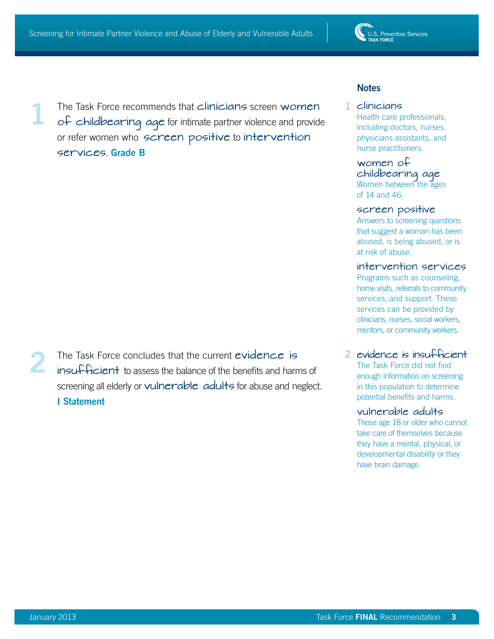The Task Force recommends that clinicians screen women of childbearing age for intimate partner violence and provide or refer women who screen positive to intervention services. **Grade B 1**

The Task Force concludes that the current evidence is insufficient to assess the balance of the benefits and harms of screening all elderly or vulnerable adults for abuse and neglect. **I Statement 2**

# **Notes**

### clinicians **1**

Health care professionals, including doctors, nurses, physicians assistants, and nurse practitioners.

#### women of childbearing age Women between the ages

of 14 and 46.

#### screen positive

Answers to screening questions that suggest a woman has been abused, is being abused, or is at risk of abuse.

#### intervention services

Programs such as counseling, home visits, referrals to community services, and support. These services can be provided by clinicians, nurses, social workers, mentors, or community workers.

# evidence is insufficient **2**

The Task Force did not find enough information on screening in this population to determine potential benefits and harms.

#### vulnerable adults

Those age 18 or older who cannot take care of themselves because they have a mental, physical, or developmental disability or they have brain damage.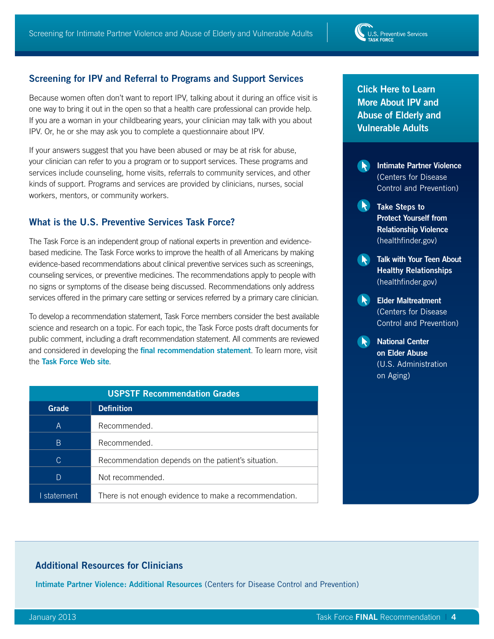# **Screening for IPV and Referral to Programs and Support Services**

Because women often don't want to report IPV, talking about it during an office visit is one way to bring it out in the open so that a health care professional can provide help. If you are a woman in your childbearing years, your clinician may talk with you about IPV. Or, he or she may ask you to complete a questionnaire about IPV.

If your answers suggest that you have been abused or may be at risk for abuse, your clinician can refer to you a program or to support services. These programs and services include counseling, home visits, referrals to community services, and other kinds of support. Programs and services are provided by clinicians, nurses, social workers, mentors, or community workers.

# **What is the U.S. Preventive Services Task Force?**

The Task Force is an independent group of national experts in prevention and evidencebased medicine. The Task Force works to improve the health of all Americans by making evidence-based recommendations about clinical preventive services such as screenings, counseling services, or preventive medicines. The recommendations apply to people with no signs or symptoms of the disease being discussed. Recommendations only address services offered in the primary care setting or services referred by a primary care clinician.

To develop a recommendation statement, Task Force members consider the best available science and research on a topic. For each topic, the Task Force posts draft documents for public comment, including a draft recommendation statement. All comments are reviewed and considered in developing the **[final recommendation statement](http://www.uspreventiveservicestaskforce.org/uspstf12/menohrt/menohrtfinalrs.htm)**. To learn more, visit the **[Task Force Web site](http://www.uspreventiveservicestaskforce.org/index.html)**.

| <b>USPSTF Recommendation Grades</b> |                                                        |
|-------------------------------------|--------------------------------------------------------|
| Grade                               | <b>Definition</b>                                      |
| A                                   | Recommended.                                           |
| B                                   | Recommended.                                           |
| C.                                  | Recommendation depends on the patient's situation.     |
| D                                   | Not recommended.                                       |
| statement                           | There is not enough evidence to make a recommendation. |

**Click Here to Learn More About IPV and Abuse of Elderly and Vulnerable Adults**



- **Take Steps to Protect Yourself from [Relationship Violence](http://healthfinder.gov/HealthTopics/Category/everyday-healthy-living/mental-health-and-relationship/take-steps-to-protect-yourself-from-relationship-violence)**  (healthfinder.gov)
- **Talk with Your Teen About Healthy Relationships**  (healthfinder.gov)
- **Elder Maltreatment** [\(Centers for Disease](http://www.cdc.gov/ViolencePrevention/eldermaltreatment/index.html)  [Control and Prevention\)](http://www.cdc.gov/ViolencePrevention/eldermaltreatment/index.html)

**National Center [on Elder Abuse](http://ncea.aoa.gov/NCEAroot/Main_Site/Index.aspx)**  [\(U.S. Administration](http://ncea.aoa.gov/NCEAroot/Main_Site/Index.aspx)  [on Aging\)](http://ncea.aoa.gov/NCEAroot/Main_Site/Index.aspx)

# **Additional Resources for Clinicians**

**[Intimate Partner Violence: Additional Resources](http://www.cdc.gov/ViolencePrevention/intimatepartnerviolence/resources.html)** (Centers for Disease Control and Prevention)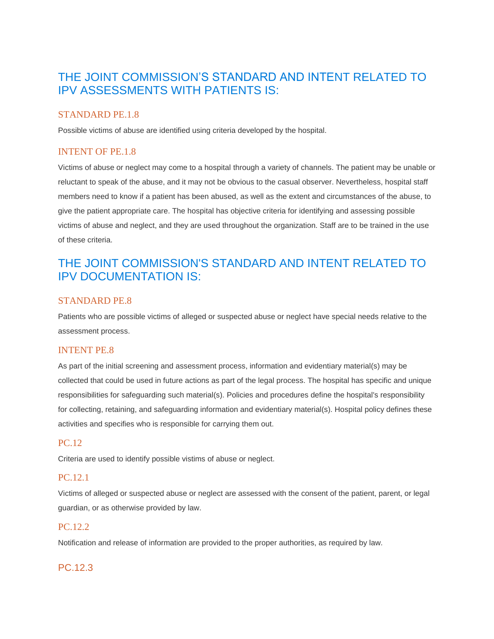# THE JOINT COMMISSION'S STANDARD AND INTENT RELATED TO IPV ASSESSMENTS WITH PATIENTS IS:

# STANDARD PE.1.8

Possible victims of abuse are identified using criteria developed by the hospital.

# INTENT OF PE.1.8

Victims of abuse or neglect may come to a hospital through a variety of channels. The patient may be unable or reluctant to speak of the abuse, and it may not be obvious to the casual observer. Nevertheless, hospital staff members need to know if a patient has been abused, as well as the extent and circumstances of the abuse, to give the patient appropriate care. The hospital has objective criteria for identifying and assessing possible victims of abuse and neglect, and they are used throughout the organization. Staff are to be trained in the use of these criteria.

# THE JOINT COMMISSION'S STANDARD AND INTENT RELATED TO IPV DOCUMENTATION IS:

#### STANDARD PE.8

Patients who are possible victims of alleged or suspected abuse or neglect have special needs relative to the assessment process.

#### INTENT PE.8

As part of the initial screening and assessment process, information and evidentiary material(s) may be collected that could be used in future actions as part of the legal process. The hospital has specific and unique responsibilities for safeguarding such material(s). Policies and procedures define the hospital's responsibility for collecting, retaining, and safeguarding information and evidentiary material(s). Hospital policy defines these activities and specifies who is responsible for carrying them out.

# PC.12

Criteria are used to identify possible vistims of abuse or neglect.

#### PC.12.1

Victims of alleged or suspected abuse or neglect are assessed with the consent of the patient, parent, or legal guardian, or as otherwise provided by law.

#### PC.12.2

Notification and release of information are provided to the proper authorities, as required by law.

# PC.12.3